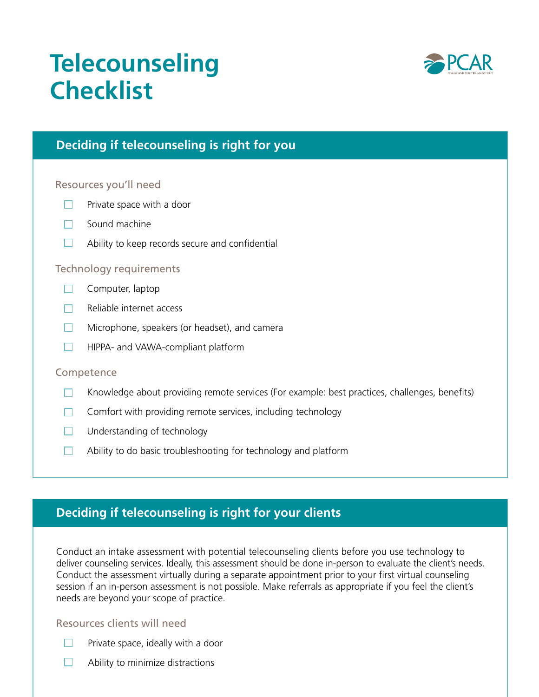# **Telecounseling Checklist**



# **Deciding if telecounseling is right for you**

#### Resources you'll need

- Private space with a door  $\Box$
- $\Box$  Sound machine
- $\Box$ Ability to keep records secure and confidential

#### Technology requirements

- $\Box$  Computer, laptop
- Reliable internet access  $\Box$
- $\Box$ Microphone, speakers (or headset), and camera
- $\Box$ HIPPA- and VAWA-compliant platform

#### **Competence**

- Knowledge about providing remote services (For example: best practices, challenges, benefts)  $\Box$
- $\Box$  Comfort with providing remote services, including technology
- $\Box$  Understanding of technology
- Ability to do basic troubleshooting for technology and platform  $\Box$

## **Deciding if telecounseling is right for your clients**

Conduct an intake assessment with potential telecounseling clients before you use technology to deliver counseling services. Ideally, this assessment should be done in-person to evaluate the client's needs. Conduct the assessment virtually during a separate appointment prior to your first virtual counseling session if an in-person assessment is not possible. Make referrals as appropriate if you feel the client's needs are beyond your scope of practice.

## Resources clients will need

- Private space, ideally with a door m.
- П Ability to minimize distractions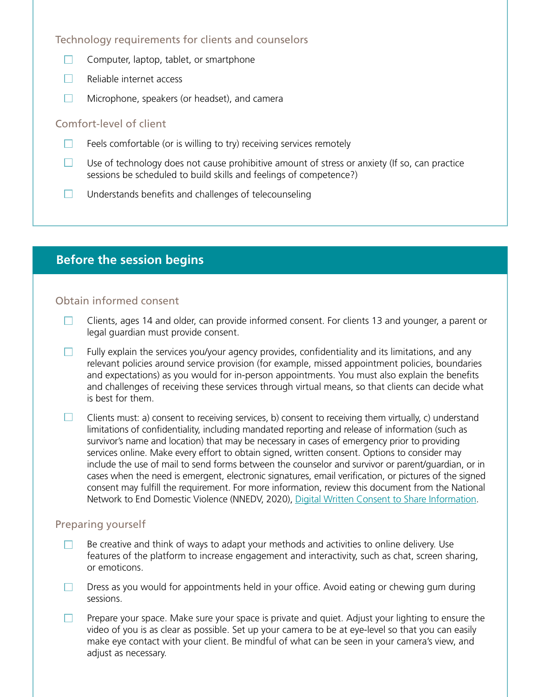## Technology requirements for clients and counselors

- Computer, laptop, tablet, or smartphone  $\Box$
- $\Box$ Reliable internet access
- $\Box$ Microphone, speakers (or headset), and camera

#### Comfort-level of client

- Feels comfortable (or is willing to try) receiving services remotely  $\Box$
- Use of technology does not cause prohibitive amount of stress or anxiety (If so, can practice  $\Box$ sessions be scheduled to build skills and feelings of competence?)
- $\Box$  Understands benefits and challenges of telecounseling

## **Before the session begins**

## Obtain informed consent

- $\Box$ Clients, ages 14 and older, can provide informed consent. For clients 13 and younger, a parent or legal guardian must provide consent.
- Fully explain the services you/your agency provides, confidentiality and its limitations, and any  $\Box$ relevant policies around service provision (for example, missed appointment policies, boundaries and expectations) as you would for in-person appointments. You must also explain the benefts and challenges of receiving these services through virtual means, so that clients can decide what is best for them.
- $\Box$ Clients must: a) consent to receiving services, b) consent to receiving them virtually, c) understand limitations of confidentiality, including mandated reporting and release of information (such as survivor's name and location) that may be necessary in cases of emergency prior to providing services online. Make every effort to obtain signed, written consent. Options to consider may include the use of mail to send forms between the counselor and survivor or parent/guardian, or in cases when the need is emergent, electronic signatures, email verification, or pictures of the signed consent may fulfll the requirement. For more information, review this document from the National Network to End Domestic Violence (NNEDV, 2020), [Digital Written Consent to Share Information](https://www.techsafety.org/digital-written-consent).

## Preparing yourself

- Be creative and think of ways to adapt your methods and activities to online delivery. Use П. features of the platform to increase engagement and interactivity, such as chat, screen sharing, or emoticons.
- Dress as you would for appointments held in your office. Avoid eating or chewing gum during  $\Box$ sessions.
- Prepare your space. Make sure your space is private and quiet. Adjust your lighting to ensure the  $\Box$ video of you is as clear as possible. Set up your camera to be at eye-level so that you can easily make eye contact with your client. Be mindful of what can be seen in your camera's view, and adjust as necessary.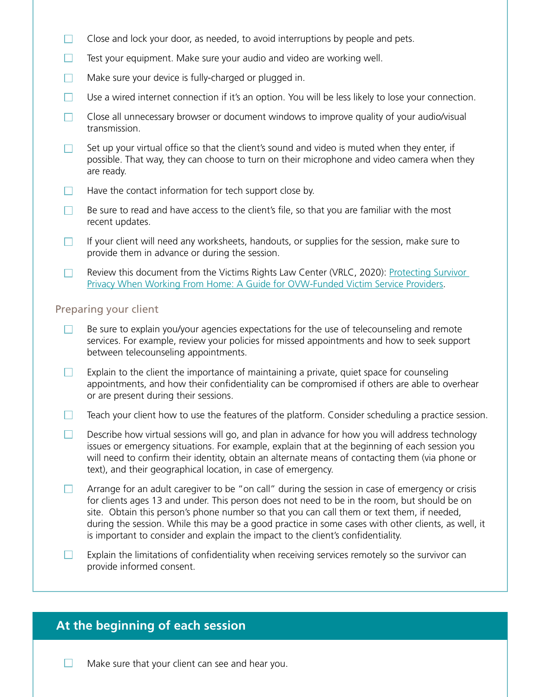- $\Box$ Close and lock your door, as needed, to avoid interruptions by people and pets.
- Test your equipment. Make sure your audio and video are working well.  $\Box$
- $\Box$ Make sure your device is fully-charged or plugged in.
- $\Box$ Use a wired internet connection if it's an option. You will be less likely to lose your connection.
- Close all unnecessary browser or document windows to improve quality of your audio/visual  $\Box$ transmission.
- Set up your virtual office so that the client's sound and video is muted when they enter, if  $\Box$ possible. That way, they can choose to turn on their microphone and video camera when they are ready.
- $\Box$  Have the contact information for tech support close by.
- $\Box$ Be sure to read and have access to the client's fle, so that you are familiar with the most recent updates.
- $\Box$ If your client will need any worksheets, handouts, or supplies for the session, make sure to provide them in advance or during the session.
- Review this document from the Victims Rights Law Center (VRLC, 2020): Protecting Survivor  $\Box$ [Privacy When Working From Home: A Guide for OVW-Funded Victim Service Providers](https://mcasa.org/assets/files/Privacy_When_Working_at_Home_VRLC.pdf).

#### Preparing your client

- Be sure to explain you/your agencies expectations for the use of telecounseling and remote  $\Box$ services. For example, review your policies for missed appointments and how to seek support between telecounseling appointments.
- $\Box$ Explain to the client the importance of maintaining a private, quiet space for counseling appointments, and how their confidentiality can be compromised if others are able to overhear or are present during their sessions.
- $\Box$ Teach your client how to use the features of the platform. Consider scheduling a practice session.
- $\Box$ Describe how virtual sessions will go, and plan in advance for how you will address technology issues or emergency situations. For example, explain that at the beginning of each session you will need to confrm their identity, obtain an alternate means of contacting them (via phone or text), and their geographical location, in case of emergency.
- Arrange for an adult caregiver to be "on call" during the session in case of emergency or crisis  $\Box$ for clients ages 13 and under. This person does not need to be in the room, but should be on site. Obtain this person's phone number so that you can call them or text them, if needed, during the session. While this may be a good practice in some cases with other clients, as well, it is important to consider and explain the impact to the client's confidentiality.
- Explain the limitations of confdentiality when receiving services remotely so the survivor can  $\mathbf{1}$ provide informed consent.

## **At the beginning of each session**

Make sure that your client can see and hear you.  $\Box$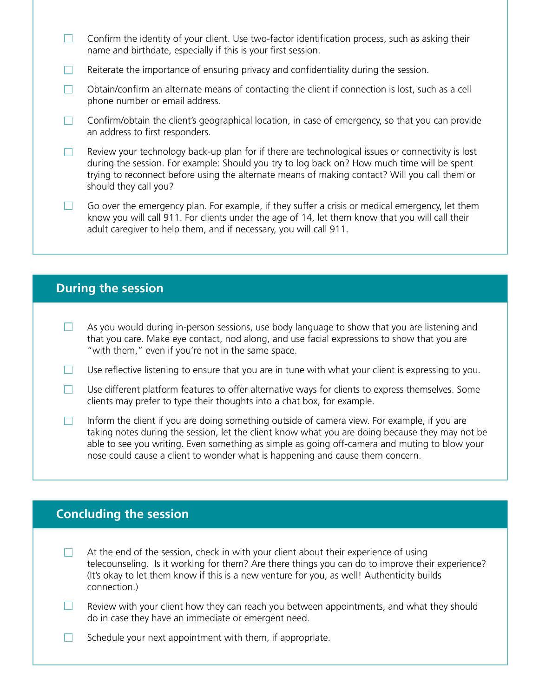- $\Box$ Confirm the identity of your client. Use two-factor identification process, such as asking their name and birthdate, especially if this is your first session.
- $\Box$ Reiterate the importance of ensuring privacy and confdentiality during the session.
- Obtain/confrm an alternate means of contacting the client if connection is lost, such as a cell  $\Box$ phone number or email address.
- $\Box$ Confirm/obtain the client's geographical location, in case of emergency, so that you can provide an address to first responders.
- Review your technology back-up plan for if there are technological issues or connectivity is lost  $\Box$ during the session. For example: Should you try to log back on? How much time will be spent trying to reconnect before using the alternate means of making contact? Will you call them or should they call you?
- Go over the emergency plan. For example, if they suffer a crisis or medical emergency, let them m. know you will call 911. For clients under the age of 14, let them know that you will call their adult caregiver to help them, and if necessary, you will call 911.

## **During the session**

- n. As you would during in-person sessions, use body language to show that you are listening and that you care. Make eye contact, nod along, and use facial expressions to show that you are "with them," even if you're not in the same space.
- Use reflective listening to ensure that you are in tune with what your client is expressing to you.  $\Box$
- $\Box$ Use different platform features to offer alternative ways for clients to express themselves. Some clients may prefer to type their thoughts into a chat box, for example.
- Inform the client if you are doing something outside of camera view. For example, if you are  $\Box$ taking notes during the session, let the client know what you are doing because they may not be able to see you writing. Even something as simple as going off-camera and muting to blow your nose could cause a client to wonder what is happening and cause them concern.

## **Concluding the session**

- At the end of the session, check in with your client about their experience of using  $\Box$ telecounseling. Is it working for them? Are there things you can do to improve their experience? (It's okay to let them know if this is a new venture for you, as well! Authenticity builds connection.)
- $\Box$ Review with your client how they can reach you between appointments, and what they should do in case they have an immediate or emergent need.
- $\Box$ Schedule your next appointment with them, if appropriate.